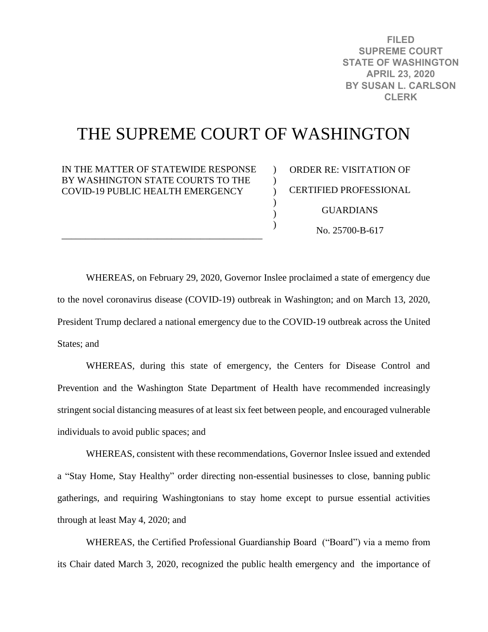**FILED SUPREME COURT STATE OF WASHINGTON APRIL 23, 2020 BY SUSAN L. CARLSON CLERK**

## THE SUPREME COURT OF WASHINGTON

 $\lambda$  $\mathcal{L}$  $\mathcal{L}$  $\mathcal{L}$  $\mathcal{L}$ )

IN THE MATTER OF STATEWIDE RESPONSE BY WASHINGTON STATE COURTS TO THE COVID-19 PUBLIC HEALTH EMERGENCY

\_\_\_\_\_\_\_\_\_\_\_\_\_\_\_\_\_\_\_\_\_\_\_\_\_\_\_\_\_\_\_\_\_\_\_\_\_\_\_\_\_\_

ORDER RE: VISITATION OF CERTIFIED PROFESSIONAL **GUARDIANS** No. 25700-B-617

WHEREAS, on February 29, 2020, Governor Inslee proclaimed a state of emergency due to the novel coronavirus disease (COVID-19) outbreak in Washington; and on March 13, 2020, President Trump declared a national emergency due to the COVID-19 outbreak across the United States; and

WHEREAS, during this state of emergency, the Centers for Disease Control and Prevention and the Washington State Department of Health have recommended increasingly stringent social distancing measures of at least six feet between people, and encouraged vulnerable individuals to avoid public spaces; and

WHEREAS, consistent with these recommendations, Governor Inslee issued and extended a "Stay Home, Stay Healthy" order directing non-essential businesses to close, banning public gatherings, and requiring Washingtonians to stay home except to pursue essential activities through at least May 4, 2020; and

WHEREAS, the Certified Professional Guardianship Board ("Board") via a memo from its Chair dated March 3, 2020, recognized the public health emergency and the importance of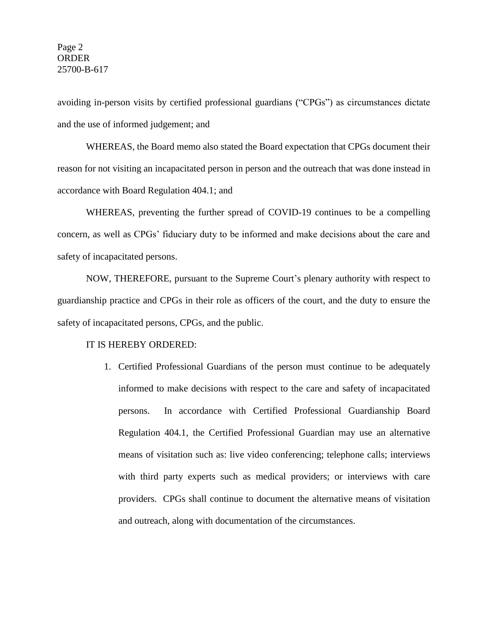## Page 2 ORDER 25700-B-617

avoiding in-person visits by certified professional guardians ("CPGs") as circumstances dictate and the use of informed judgement; and

WHEREAS, the Board memo also stated the Board expectation that CPGs document their reason for not visiting an incapacitated person in person and the outreach that was done instead in accordance with Board Regulation 404.1; and

WHEREAS, preventing the further spread of COVID-19 continues to be a compelling concern, as well as CPGs' fiduciary duty to be informed and make decisions about the care and safety of incapacitated persons.

NOW, THEREFORE, pursuant to the Supreme Court's plenary authority with respect to guardianship practice and CPGs in their role as officers of the court, and the duty to ensure the safety of incapacitated persons, CPGs, and the public.

## IT IS HEREBY ORDERED:

1. Certified Professional Guardians of the person must continue to be adequately informed to make decisions with respect to the care and safety of incapacitated persons. In accordance with Certified Professional Guardianship Board Regulation 404.1, the Certified Professional Guardian may use an alternative means of visitation such as: live video conferencing; telephone calls; interviews with third party experts such as medical providers; or interviews with care providers. CPGs shall continue to document the alternative means of visitation and outreach, along with documentation of the circumstances.